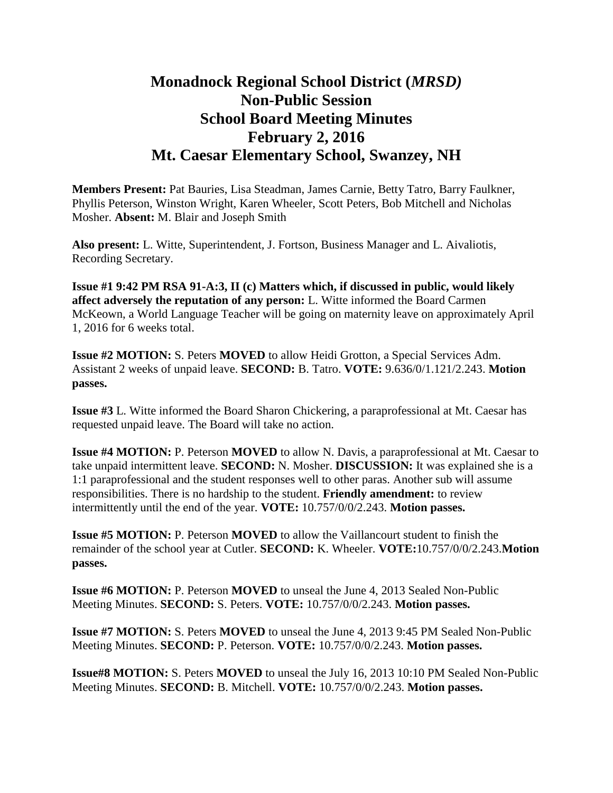## **Monadnock Regional School District (***MRSD)* **Non-Public Session School Board Meeting Minutes February 2, 2016 Mt. Caesar Elementary School, Swanzey, NH**

**Members Present:** Pat Bauries, Lisa Steadman, James Carnie, Betty Tatro, Barry Faulkner, Phyllis Peterson, Winston Wright, Karen Wheeler, Scott Peters, Bob Mitchell and Nicholas Mosher. **Absent:** M. Blair and Joseph Smith

**Also present:** L. Witte, Superintendent, J. Fortson, Business Manager and L. Aivaliotis, Recording Secretary.

**Issue #1 9:42 PM RSA 91-A:3, II (c) Matters which, if discussed in public, would likely affect adversely the reputation of any person:** L. Witte informed the Board Carmen McKeown, a World Language Teacher will be going on maternity leave on approximately April 1, 2016 for 6 weeks total.

**Issue #2 MOTION:** S. Peters **MOVED** to allow Heidi Grotton, a Special Services Adm. Assistant 2 weeks of unpaid leave. **SECOND:** B. Tatro. **VOTE:** 9.636/0/1.121/2.243. **Motion passes.** 

**Issue #3** L. Witte informed the Board Sharon Chickering, a paraprofessional at Mt. Caesar has requested unpaid leave. The Board will take no action.

**Issue #4 MOTION:** P. Peterson **MOVED** to allow N. Davis, a paraprofessional at Mt. Caesar to take unpaid intermittent leave. **SECOND:** N. Mosher. **DISCUSSION:** It was explained she is a 1:1 paraprofessional and the student responses well to other paras. Another sub will assume responsibilities. There is no hardship to the student. **Friendly amendment:** to review intermittently until the end of the year. **VOTE:** 10.757/0/0/2.243. **Motion passes.** 

**Issue #5 MOTION:** P. Peterson **MOVED** to allow the Vaillancourt student to finish the remainder of the school year at Cutler. **SECOND:** K. Wheeler. **VOTE:**10.757/0/0/2.243.**Motion passes.** 

**Issue #6 MOTION:** P. Peterson **MOVED** to unseal the June 4, 2013 Sealed Non-Public Meeting Minutes. **SECOND:** S. Peters. **VOTE:** 10.757/0/0/2.243. **Motion passes.** 

**Issue #7 MOTION:** S. Peters **MOVED** to unseal the June 4, 2013 9:45 PM Sealed Non-Public Meeting Minutes. **SECOND:** P. Peterson. **VOTE:** 10.757/0/0/2.243. **Motion passes.** 

**Issue#8 MOTION:** S. Peters **MOVED** to unseal the July 16, 2013 10:10 PM Sealed Non-Public Meeting Minutes. **SECOND:** B. Mitchell. **VOTE:** 10.757/0/0/2.243. **Motion passes.**